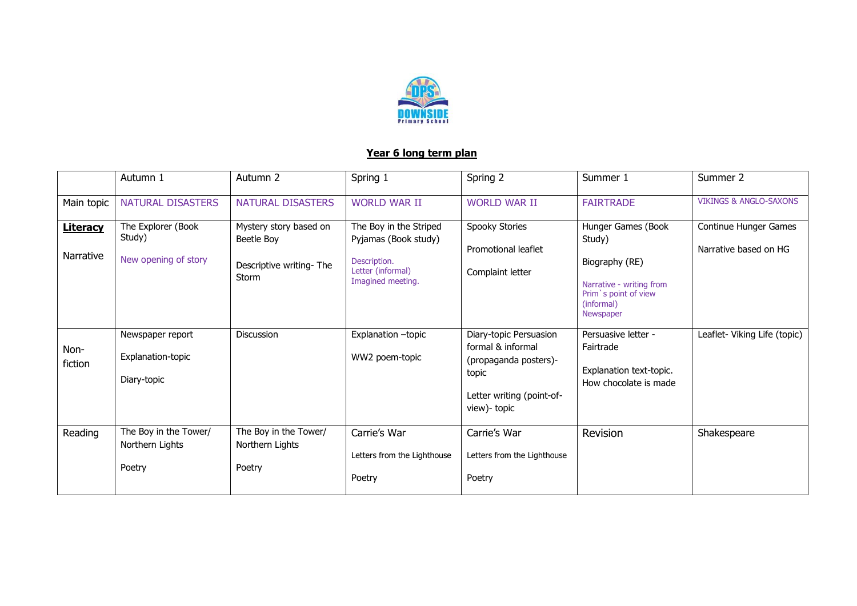

## **Year 6 long term plan**

|                              | Autumn 1                                             | Autumn 2                                                                 | Spring 1                                                                                                 | Spring 2                                                                                                                   | Summer 1                                                                                                                      | Summer 2                                       |
|------------------------------|------------------------------------------------------|--------------------------------------------------------------------------|----------------------------------------------------------------------------------------------------------|----------------------------------------------------------------------------------------------------------------------------|-------------------------------------------------------------------------------------------------------------------------------|------------------------------------------------|
| Main topic                   | NATURAL DISASTERS                                    | NATURAL DISASTERS                                                        | <b>WORLD WAR II</b>                                                                                      | <b>WORLD WAR II</b>                                                                                                        | <b>FAIRTRADE</b>                                                                                                              | <b>VIKINGS &amp; ANGLO-SAXONS</b>              |
| <b>Literacy</b><br>Narrative | The Explorer (Book<br>Study)<br>New opening of story | Mystery story based on<br>Beetle Boy<br>Descriptive writing-The<br>Storm | The Boy in the Striped<br>Pyjamas (Book study)<br>Description.<br>Letter (informal)<br>Imagined meeting. | Spooky Stories<br>Promotional leaflet<br>Complaint letter                                                                  | Hunger Games (Book<br>Study)<br>Biography (RE)<br>Narrative - writing from<br>Prim's point of view<br>(informal)<br>Newspaper | Continue Hunger Games<br>Narrative based on HG |
| Non-<br>fiction              | Newspaper report<br>Explanation-topic<br>Diary-topic | <b>Discussion</b>                                                        | Explanation -topic<br>WW2 poem-topic                                                                     | Diary-topic Persuasion<br>formal & informal<br>(propaganda posters)-<br>topic<br>Letter writing (point-of-<br>view)- topic | Persuasive letter -<br>Fairtrade<br>Explanation text-topic.<br>How chocolate is made                                          | Leaflet- Viking Life (topic)                   |
| Reading                      | The Boy in the Tower/<br>Northern Lights<br>Poetry   | The Boy in the Tower/<br>Northern Lights<br>Poetry                       | Carrie's War<br>Letters from the Lighthouse<br>Poetry                                                    | Carrie's War<br>Letters from the Lighthouse<br>Poetry                                                                      | Revision                                                                                                                      | Shakespeare                                    |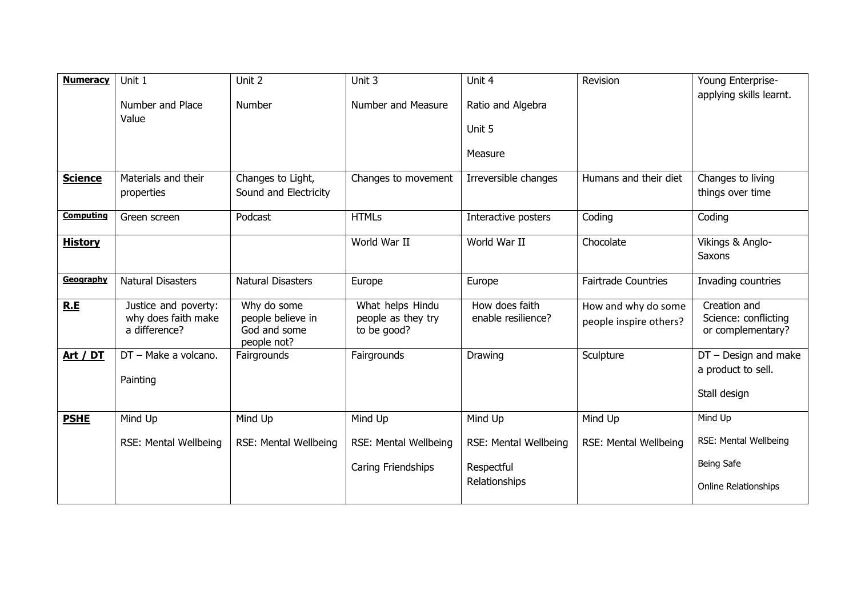| <b>Numeracy</b>  | Unit 1<br>Number and Place<br>Value                          | Unit 2<br><b>Number</b>                                         | Unit 3<br>Number and Measure                          | Unit 4<br>Ratio and Algebra<br>Unit 5<br>Measure     | Revision                                      | Young Enterprise-<br>applying skills learnt.                 |
|------------------|--------------------------------------------------------------|-----------------------------------------------------------------|-------------------------------------------------------|------------------------------------------------------|-----------------------------------------------|--------------------------------------------------------------|
| <b>Science</b>   | Materials and their<br>properties                            | Changes to Light,<br>Sound and Electricity                      | Changes to movement                                   | Irreversible changes                                 | Humans and their diet                         | Changes to living<br>things over time                        |
| <b>Computing</b> | Green screen                                                 | Podcast                                                         | <b>HTMLs</b>                                          | Interactive posters                                  | Coding                                        | Coding                                                       |
| <b>History</b>   |                                                              |                                                                 | World War II                                          | World War II                                         | Chocolate                                     | Vikings & Anglo-<br>Saxons                                   |
| Geography        | <b>Natural Disasters</b>                                     | <b>Natural Disasters</b>                                        | Europe                                                | Europe                                               | <b>Fairtrade Countries</b>                    | Invading countries                                           |
| R.E              | Justice and poverty:<br>why does faith make<br>a difference? | Why do some<br>people believe in<br>God and some<br>people not? | What helps Hindu<br>people as they try<br>to be good? | How does faith<br>enable resilience?                 | How and why do some<br>people inspire others? | Creation and<br>Science: conflicting<br>or complementary?    |
| Art / DT         | DT - Make a volcano.<br>Painting                             | Fairgrounds                                                     | Fairgrounds                                           | Drawing                                              | Sculpture                                     | $DT$ - Design and make<br>a product to sell.<br>Stall design |
| <b>PSHE</b>      | Mind Up                                                      | Mind Up                                                         | Mind Up                                               | Mind Up                                              | Mind Up                                       | Mind Up                                                      |
|                  | RSE: Mental Wellbeing                                        | RSE: Mental Wellbeing                                           | RSE: Mental Wellbeing<br>Caring Friendships           | RSE: Mental Wellbeing<br>Respectful<br>Relationships | RSE: Mental Wellbeing                         | RSE: Mental Wellbeing<br>Being Safe<br>Online Relationships  |